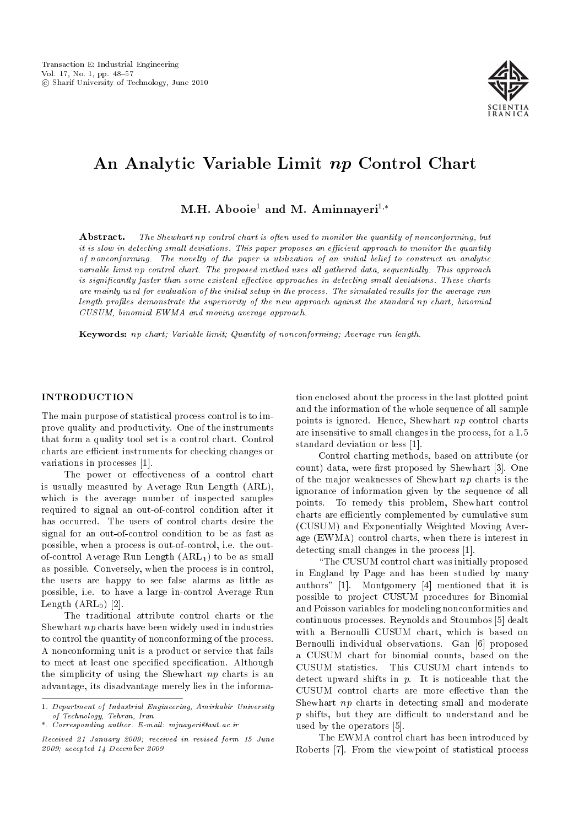

# An Analytic Variable Limit np Control Chart

M.H. Abooie<sup>1</sup> and M. Aminnaveri<sup>1,\*</sup>

Abstract. The Shewhart np control chart is often used to monitor the quantity of nonconforming, but it is slow in detecting small deviations. This paper proposes an efficient approach to monitor the quantity of nonconforming. The novelty of the paper is utilization of an initial belief to construct an analytic variable limit np control chart. The proposed method uses all gathered data, sequentially. This approach is significantly faster than some existent effective approaches in detecting small deviations. These charts are mainly used for evaluation of the initial setup in the process. The simulated results for the average run length profiles demonstrate the superiority of the new approach against the standard np chart, binomial CUSUM, binomial EWMA and moving average approach.

Keywords: np chart; Variable limit; Quantity of nonconforming; Average run length.

## INTRODUCTION

The main purpose of statistical process control is to improve quality and productivity. One of the instruments that form a quality tool set is a control chart. Control charts are efficient instruments for checking changes or variations in processes [1].

The power or effectiveness of a control chart is usually measured by Average Run Length (ARL), which is the average number of inspected samples required to signal an out-of-control condition after it has occurred. The users of control charts desire the signal for an out-of-control condition to be as fast as possible, when a process is out-of-control, i.e. the outof-control Average Run Length  $(ARL_1)$  to be as small as possible. Conversely, when the process is in control, the users are happy to see false alarms as little as possible, i.e. to have a large in-control Average Run Length  $(ARL_0)$  [2].

The traditional attribute control charts or the Shewhart np charts have been widely used in industries to control the quantity of nonconforming of the process. A nonconforming unit is a product or service that fails to meet at least one specified specification. Although the simplicity of using the Shewhart  $np$  charts is an advantage, its disadvantage merely lies in the information enclosed about the process in the last plotted point and the information of the whole sequence of all sample points is ignored. Hence, Shewhart np control charts are insensitive to small changes in the process, for a 1.5 standard deviation or less [1].

Control charting methods, based on attribute (or count) data, were first proposed by Shewhart [3]. One of the major weaknesses of Shewhart np charts is the ignorance of information given by the sequence of all points. To remedy this problem, Shewhart control charts are efficiently complemented by cumulative sum (CUSUM) and Exponentially Weighted Moving Average (EWMA) control charts, when there is interest in detecting small changes in the process [1].

\The CUSUM control chart was initially proposed in England by Page and has been studied by many authors" [1]. Montgomery [4] mentioned that it is possible to project CUSUM procedures for Binomial and Poisson variables for modeling nonconformities and continuous processes. Reynolds and Stoumbos [5] dealt with a Bernoulli CUSUM chart, which is based on Bernoulli individual observations. Gan [6] proposed a CUSUM chart for binomial counts, based on the CUSUM statistics. This CUSUM chart intends to detect upward shifts in  $p$ . It is noticeable that the CUSUM control charts are more effective than the Shewhart np charts in detecting small and moderate  $p$  shifts, but they are difficult to understand and be used by the operators [5].

The EWMA control chart has been introduced by Roberts [7]. From the viewpoint of statistical process

<sup>1.</sup> Department of Industrial Engineering, Amirkabir University of Technology, Tehran, Iran.

<sup>\*.</sup> Corresponding author. E-mail: mjnayeri@aut.ac.ir

Received 21 January 2009; received in revised form 15 June 2009; accepted 14 December 2009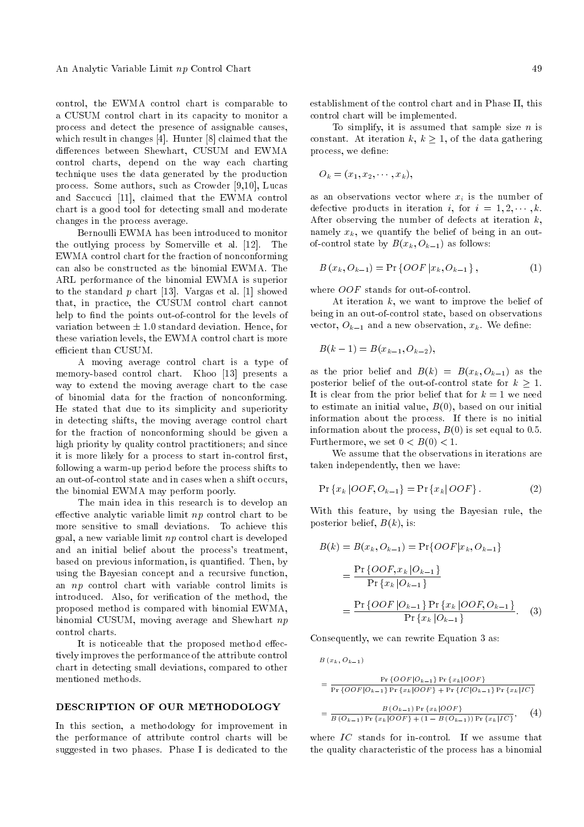control, the EWMA control chart is comparable to a CUSUM control chart in its capacity to monitor a process and detect the presence of assignable causes, which result in changes [4]. Hunter [8] claimed that the differences between Shewhart, CUSUM and EWMA control charts, depend on the way each charting technique uses the data generated by the production process. Some authors, such as Crowder [9,10], Lucas and Saccucci [11], claimed that the EWMA control chart is a good tool for detecting small and moderate changes in the process average.

Bernoulli EWMA has been introduced to monitor the outlying process by Somerville et al. [12]. The EWMA control chart for the fraction of nonconforming can also be constructed as the binomial EWMA. The ARL performance of the binomial EWMA is superior to the standard  $p$  chart [13]. Vargas et al. [1] showed that, in practice, the CUSUM control chart cannot help to find the points out-of-control for the levels of variation between  $\pm$  1.0 standard deviation. Hence, for these variation levels, the EWMA control chart is more efficient than CUSUM.

A moving average control chart is a type of memory-based control chart. Khoo [13] presents a way to extend the moving average chart to the case of binomial data for the fraction of nonconforming. He stated that due to its simplicity and superiority in detecting shifts, the moving average control chart for the fraction of nonconforming should be given a high priority by quality control practitioners; and since it is more likely for a process to start in-control first, following a warm-up period before the process shifts to an out-of-control state and in cases when a shift occurs, the binomial EWMA may perform poorly.

The main idea in this research is to develop an effective analytic variable limit  $np$  control chart to be more sensitive to small deviations. To achieve this goal, a new variable limit np control chart is developed and an initial belief about the process's treatment, based on previous information, is quantied. Then, by using the Bayesian concept and a recursive function, an np control chart with variable control limits is introduced. Also, for verification of the method, the proposed method is compared with binomial EWMA, binomial CUSUM, moving average and Shewhart np control charts.

It is noticeable that the proposed method effectively improves the performance of the attribute control chart in detecting small deviations, compared to other mentioned methods.

# DESCRIPTION OF OUR METHODOLOGY

In this section, a methodology for improvement in the performance of attribute control charts will be suggested in two phases. Phase I is dedicated to the establishment of the control chart and in Phase II, this control chart will be implemented.

To simplify, it is assumed that sample size  $n$  is constant. At iteration k,  $k \geq 1$ , of the data gathering process, we define:

$$
O_k=(x_1,x_2,\cdots,x_k),
$$

as an observations vector where  $x_i$  is the number of defective products in iteration *i*, for  $i = 1, 2, \dots, k$ . After observing the number of defects at iteration  $k$ , namely  $x_k$ , we quantify the belief of being in an outof-control state by  $B(x_k, O_{k-1})$  as follows:

$$
B(x_k, O_{k-1}) = \Pr\{OOF | x_k, O_{k-1}\},
$$
\n(1)

where *OOF* stands for out-of-control.

At iteration  $k$ , we want to improve the belief of being in an out-of-control state, based on observations vector,  $O_{k-1}$  and a new observation,  $x_k$ . We define:

$$
B(k-1) = B(x_{k-1}, O_{k-2}),
$$

as the prior belief and  $B(k) = B(x_k, O_{k-1})$  as the posterior belief of the out-of-control state for  $k \geq 1$ . It is clear from the prior belief that for  $k = 1$  we need to estimate an initial value,  $B(0)$ , based on our initial information about the process. If there is no initial information about the process,  $B(0)$  is set equal to 0.5. Furthermore, we set  $0 < B(0) < 1$ .

We assume that the observations in iterations are taken independently, then we have:

$$
Pr\{x_k | OOF, O_{k-1}\} = Pr\{x_k | OOF\}.
$$
 (2)

With this feature, by using the Bayesian rule, the posterior belief,  $B(k)$ , is:

$$
B(k) = B(x_k, O_{k-1}) = \Pr\{OOF | x_k, O_{k-1}\}\
$$

$$
= \frac{\Pr\{OOF, x_k | O_{k-1}\}}{\Pr\{x_k | O_{k-1}\}}\
$$

$$
= \frac{\Pr\{OOF | O_{k-1}\} \Pr\{x_k | OOF, O_{k-1}\}}{\Pr\{x_k | O_{k-1}\}}.\tag{3}
$$

Consequently, we can rewrite Equation 3 as:

$$
B(x_k, O_{k-1})
$$
\n
$$
= \frac{\Pr\{OOF|O_{k-1}\}\Pr\{x_k|OOF\}}{\Pr\{OOF|O_{k-1}\}\Pr\{x_k|OOF\} + \Pr\{IC|O_{k-1}\}\Pr\{x_k|IC\}}
$$
\n
$$
= \frac{B(O_{k-1})\Pr\{x_k|OOF\}}{B(O_{k-1})\Pr\{x_k|OOF\} + (1 - B(O_{k-1}))\Pr\{x_k|IC\}}, \quad (4)
$$

where  $IC$  stands for in-control. If we assume that the quality characteristic of the process has a binomial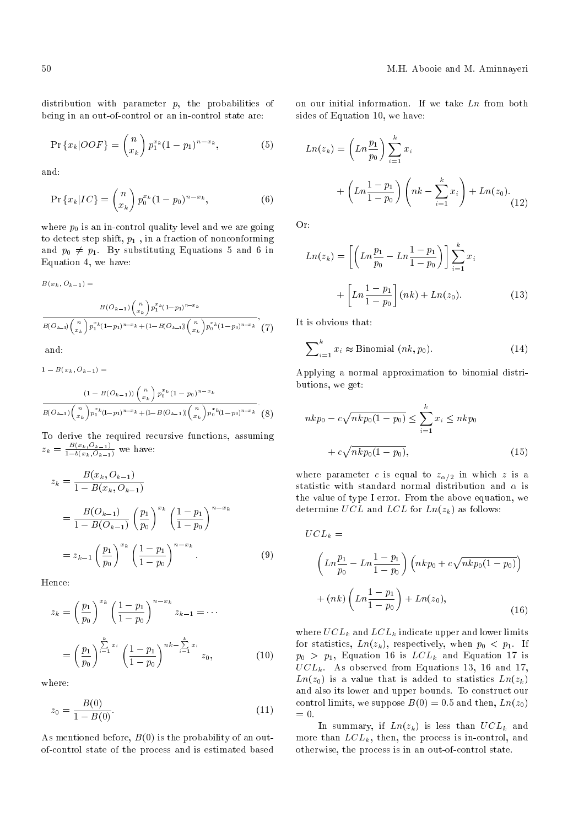distribution with parameter  $p$ , the probabilities of being in an out-of-control or an in-control state are:

$$
\Pr\left\{x_k|OOF\right\} = \binom{n}{x_k} p_1^{x_k} (1-p_1)^{n-x_k},\tag{5}
$$

and:

$$
\Pr\left\{x_k|IC\right\} = \binom{n}{x_k} p_0^{x_k} (1 - p_0)^{n - x_k},\tag{6}
$$

where  $p_0$  is an in-control quality level and we are going to detect step shift,  $p_1$ , in a fraction of nonconforming and  $p_0 \neq p_1$ . By substituting Equations 5 and 6 in Equation 4, we have:

 $B(x_k, O_{k-1}) =$ 

$$
\frac{B(O_{k-1})\binom{n}{x_k}p_1^{x_k}(1-p_1)^{n-x_k}}{B(O_{k-1})\binom{n}{x_k}p_1^{x_k}(1-p_1)^{n-x_k}+(1-B(O_{k-1}))\binom{n}{x_k}p_0^{x_k}(1-p_0)^{n-x_k}}\tag{7}
$$
 and:

 $1 - B(x_k, O_{k-1}) =$ 

$$
\frac{(1 - B(O_{k-1})) \binom{n}{x_k} p_0^{x_k} (1 - p_0)^{n - x_k}}{B(O_{k-1}) \binom{n}{x_k} p_1^{x_k} (1 - p_1)^{n - x_k} + (1 - B(O_{k-1})) \binom{n}{x_k} p_0^{x_k} (1 - p_0)^{n - x_k}}.
$$
 (8)

To derive the required recursive functions, assuming  $z_k = \frac{B(x_k, O_{k-1})}{1 - b(x_k, O_{k-1})}$  we have:

$$
z_{k} = \frac{B(x_{k}, O_{k-1})}{1 - B(x_{k}, O_{k-1})}
$$
  
= 
$$
\frac{B(O_{k-1})}{1 - B(O_{k-1})} \left(\frac{p_{1}}{p_{0}}\right)^{x_{k}} \left(\frac{1 - p_{1}}{1 - p_{0}}\right)^{n - x_{k}}
$$
  
= 
$$
z_{k-1} \left(\frac{p_{1}}{p_{0}}\right)^{x_{k}} \left(\frac{1 - p_{1}}{1 - p_{0}}\right)^{n - x_{k}}
$$
(9)

Hence:

$$
z_k = \left(\frac{p_1}{p_0}\right)^{x_k} \left(\frac{1-p_1}{1-p_0}\right)^{n-x_k} z_{k-1} = \cdots
$$

$$
= \left(\frac{p_1}{p_0}\right)^{\sum_{i=1}^k x_i} \left(\frac{1-p_1}{1-p_0}\right)^{nk - \sum_{i=1}^k x_i} z_0,
$$
(10)

where:

$$
z_0 = \frac{B(0)}{1 - B(0)}.\t(11)
$$

As mentioned before,  $B(0)$  is the probability of an outof-control state of the process and is estimated based on our initial information. If we take  $Ln$  from both sides of Equation 10, we have:

$$
Ln(z_k) = \left(Ln \frac{p_1}{p_0}\right) \sum_{i=1}^k x_i
$$
  
+ 
$$
\left(Ln \frac{1-p_1}{1-p_0}\right) \left(nk - \sum_{i=1}^k x_i\right) + Ln(z_0).
$$
 (12)

Or:

$$
Ln(z_k) = \left[ \left( Ln \frac{p_1}{p_0} - Ln \frac{1-p_1}{1-p_0} \right) \right] \sum_{i=1}^k x_i
$$

$$
+ \left[ Ln \frac{1-p_1}{1-p_0} \right] (nk) + Ln(z_0).
$$
 (13)

It is obvious that:

$$
\sum_{i=1}^{k} x_i \approx \text{Binomial } (nk, p_0). \tag{14}
$$

Applying a normal approximation to binomial distributions, we get:

$$
nkp_0 - c\sqrt{nkp_0(1 - p_0)} \le \sum_{i=1}^k x_i \le nkp_0
$$
  
+  $c\sqrt{nkp_0(1 - p_0)}$ , (15)

where parameter c is equal to  $z_{\alpha/2}$  in which z is a statistic with standard normal distribution and  $\alpha$  is the value of type I error. From the above equation, we determine UCL and LCL for  $Ln(z_k)$  as follows:

$$
UCL_{k} =
$$
\n
$$
\left(Ln\frac{p_{1}}{p_{0}} - Ln\frac{1-p_{1}}{1-p_{0}}\right)\left(nkp_{0} + c\sqrt{nkp_{0}(1-p_{0})}\right)
$$
\n
$$
+(nk)\left(Ln\frac{1-p_{1}}{1-p_{0}}\right) + Ln(z_{0}), \tag{16}
$$

where  $UCL_k$  and  $LCL_k$  indicate upper and lower limits for statistics,  $Ln(z_k)$ , respectively, when  $p_0 < p_1$ . If  $p_0 > p_1$ , Equation 16 is  $LCL_k$  and Equation 17 is  $UCL_k$ . As observed from Equations 13, 16 and 17,  $Ln(z_0)$  is a value that is added to statistics  $Ln(z_k)$ and also its lower and upper bounds. To construct our control limits, we suppose  $B(0) = 0.5$  and then,  $Ln(z_0)$  $= 0.$ 

In summary, if  $Ln(z_k)$  is less than  $UCL_k$  and more than  $LCL_k$ , then, the process is in-control, and otherwise, the process is in an out-of-control state.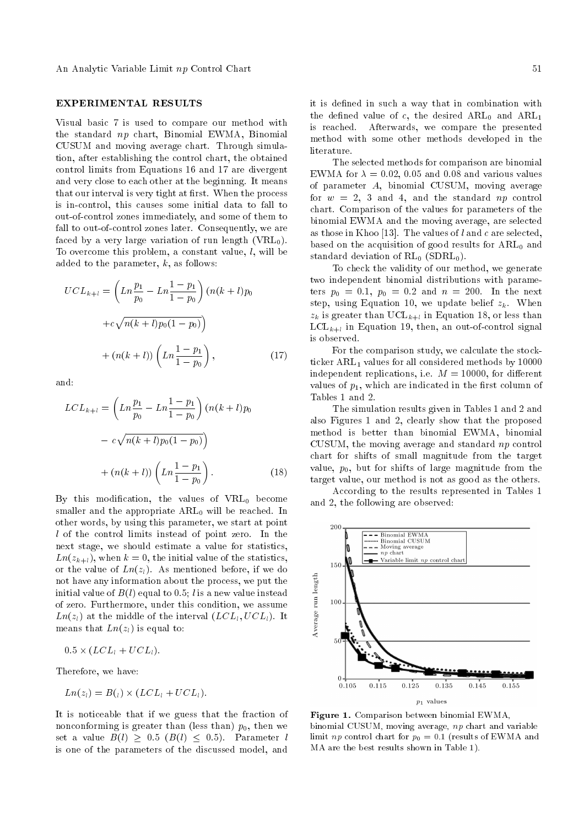## EXPERIMENTAL RESULTS

Visual basic 7 is used to compare our method with the standard np chart, Binomial EWMA, Binomial CUSUM and moving average chart. Through simulation, after establishing the control chart, the obtained control limits from Equations 16 and 17 are divergent and very close to each other at the beginning. It means that our interval is very tight at first. When the process is in-control, this causes some initial data to fall to out-of-control zones immediately, and some of them to fall to out-of-control zones later. Consequently, we are faced by a very large variation of run length  $(VRL_0)$ . To overcome this problem, a constant value,  $l$ , will be added to the parameter,  $k$ , as follows:

$$
UCL_{k+l} = \left(Ln\frac{p_1}{p_0} - Ln\frac{1-p_1}{1-p_0}\right)(n(k+l)p_0 + c\sqrt{n(k+l)p_0(1-p_0)}) + (n(k+l))\left(Ln\frac{1-p_1}{1-p_0}\right),
$$
\n(17)

and:

$$
LCL_{k+l} = \left(Ln\frac{p_1}{p_0} - Ln\frac{1-p_1}{1-p_0}\right)(n(k+l)p_0)
$$

$$
- c\sqrt{n(k+l)p_0(1-p_0)}
$$

$$
+ (n(k+l))\left(Ln\frac{1-p_1}{1-p_0}\right).
$$
(18)

By this modification, the values of  $VRL_0$  become smaller and the appropriate  $ARL<sub>0</sub>$  will be reached. In other words, by using this parameter, we start at point l of the control limits instead of point zero. In the next stage, we should estimate a value for statistics,  $Ln(z_{k+l})$ , when  $k = 0$ , the initial value of the statistics, or the value of  $Ln(z_l)$ . As mentioned before, if we do not have any information about the process, we put the initial value of  $B(l)$  equal to 0.5; l is a new value instead of zero. Furthermore, under this condition, we assume  $Ln(z_l)$  at the middle of the interval  $(LCL_l, UCL_l)$ . It means that  $Ln(z_l)$  is equal to:

$$
0.5 \times (LCL_l + UCL_l).
$$

Therefore, we have:

$$
Ln(z_l) = B(l) \times (LCL_l + UCL_l).
$$

It is noticeable that if we guess that the fraction of nonconforming is greater than (less than)  $p_0$ , then we set a value  $B(l) \geq 0.5$   $(B(l) \leq 0.5)$ . Parameter l is one of the parameters of the discussed model, and it is defined in such a way that in combination with the defined value of c, the desired  $ARL_0$  and  $ARL_1$ is reached. Afterwards, we compare the presented method with some other methods developed in the literature.

The selected methods for comparison are binomial EWMA for  $\lambda = 0.02, 0.05$  and 0.08 and various values of parameter A, binomial CUSUM, moving average for  $w = 2$ , 3 and 4, and the standard np control chart. Comparison of the values for parameters of the binomial EWMA and the moving average, are selected as those in Khoo [13]. The values of l and c are selected, based on the acquisition of good results for  $ARL<sub>0</sub>$  and standard deviation of  $RL_0$  (SDRL<sub>0</sub>).

To check the validity of our method, we generate two independent binomial distributions with parameters  $p_0 = 0.1$ ,  $p_0 = 0.2$  and  $n = 200$ . In the next step, using Equation 10, we update belief  $z_k$ . When  $z_k$  is greater than  $\mathrm{UCL}_{k+l}$  in Equation 18, or less than  $\mathrm{LCL}_{k+l}$  in Equation 19, then, an out-of-control signal is observed.

For the comparison study, we calculate the stockticker  $ARL<sub>1</sub>$  values for all considered methods by 10000 independent replications, i.e.  $M = 10000$ , for different values of  $p_1$ , which are indicated in the first column of Tables 1 and 2.

The simulation results given in Tables 1 and 2 and also Figures 1 and 2, clearly show that the proposed method is better than binomial EWMA, binomial CUSUM, the moving average and standard  $np$  control chart for shifts of small magnitude from the target value,  $p_0$ , but for shifts of large magnitude from the target value, our method is not as good as the others.

According to the results represented in Tables 1 and 2, the following are observed:



Figure 1. Comparison between binomial EWMA, binomial CUSUM, moving average, np chart and variable limit *np* control chart for  $p_0 = 0.1$  (results of EWMA and MA are the best results shown in Table 1).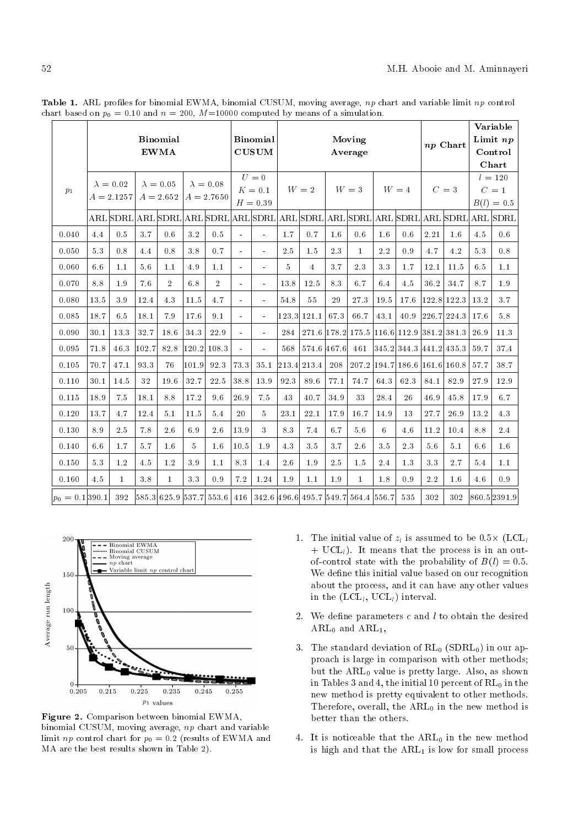|                     |      | <b>Binomial</b><br><b>EWMA</b>   |                      |                                 |       |                                  |                | <b>Binomial</b><br><b>CUSUM</b> | Moving<br>Average |                                     |      |                                                   |         |                         | np Chart |               | Variable<br>Limit np<br>Control<br>Chart |                                                                                  |
|---------------------|------|----------------------------------|----------------------|---------------------------------|-------|----------------------------------|----------------|---------------------------------|-------------------|-------------------------------------|------|---------------------------------------------------|---------|-------------------------|----------|---------------|------------------------------------------|----------------------------------------------------------------------------------|
| p <sub>1</sub>      |      | $\lambda = 0.02$<br>$A = 2.1257$ |                      | $\lambda = 0.05$<br>$A = 2.652$ |       | $\lambda = 0.08$<br>$A = 2.7650$ |                | $U=0$<br>$K=0.1$<br>$H = 0.39$  |                   | $W\,=\,2$                           |      | $W=3$                                             |         | $W = 4$                 |          | $C=3$         |                                          | $l = 120$<br>$C=1$<br>$B(l) = 0.5$                                               |
|                     |      |                                  |                      |                                 |       |                                  |                |                                 |                   |                                     |      |                                                   |         |                         |          |               |                                          | ARL SDRL ARL SDRL ARL SDRL ARL SDRL ARL SDRL ARL SDRL ARL SDRL ARL SDRL ARL SDRL |
| 0.040               | 4.4  | 0.5                              | 3.7                  | 0.6                             | 3.2   | 0.5                              | $\sim$         | $\sim$                          | $1.7\,$           | 0.7                                 | 1.6  | 0.6                                               | 1.6     | 0.6                     | 2.21     | $1.6\,$       | 4.5                                      | 0.6                                                                              |
| 0.050               | 5.3  | 0.8                              | 4.4                  | 0.8                             | 3.8   | 0.7                              | $\blacksquare$ | $\frac{1}{2}$                   | 2.5               | 1.5                                 | 2.3  | $\mathbf{1}$                                      | 2.2     | 0.9                     | 4.7      | 4.2           | 5.3                                      | 0.8                                                                              |
| 0.060               | 6.6  | 1.1                              | $5\,$ $6\,$          | 1.1                             | 4.9   | 1.1                              |                | $\blacksquare$                  | 5                 | $\overline{4}$                      | 3.7  | 2.3                                               | $3.3\,$ | 1.7                     | 12.1     | 11.5          | 6.5                                      | $1.1\,$                                                                          |
| 0.070               | 8.8  | 1.9                              | 7.6                  | $\overline{2}$                  | 6.8   | $\overline{2}$                   | $\overline{a}$ | ÷.                              | 13.8              | 12.5                                | 8.3  | 6.7                                               | 6.4     | 4.5                     | 36.2     | 34.7          | 8.7                                      | 1.9                                                                              |
| 0.080               | 13.5 | 3.9                              | 12.4                 | 4.3                             | 11.5  | 4.7                              |                | $\blacksquare$                  | 54.8              | 55                                  | 29   | 273                                               | 19.5    | 17.6                    |          | $122.8$ 122.3 | 13.2                                     | 3.7                                                                              |
| 0.085               | 18.7 | 6.5                              | 18.1                 | 7.9                             | 17.6  | 9.1                              | $\blacksquare$ | $\sim$                          |                   | 123.3 121.1                         | 67.3 | 66.7                                              | 43.1    | 40.9                    |          | 226.7 224.3   | 17.6                                     | 5.8                                                                              |
| 0.090               | 30.1 | 13.3                             | 32.7                 | 18.6                            | 34.3  | 22.9                             | $\blacksquare$ | $\blacksquare$                  | 284               |                                     |      | $271.6$  178.2  175.5  116.6  112.9  381.2  381.3 |         |                         |          |               | 26.9                                     | 11.3                                                                             |
| 0.095               | 71.8 | 46.3                             | $\left 102.7\right $ | 82.8                            |       | $120.2$ 108.3                    | $\blacksquare$ | ò.                              | 568               | 574.6 467.6                         |      | 461                                               |         | 345.2 344.3 441.2 435.3 |          |               | 59.7                                     | 37.4                                                                             |
| 0.105               | 70.7 | 47.1                             | 93.3                 | 76                              | 101.9 | 92.3                             | 73.3           | 35.1                            |                   | 213.4 213.4                         | 208  | 207.2 194.7                                       |         | $186.6$  161.6  160.8   |          |               | 57.7                                     | 38.7                                                                             |
| 0.110               | 30.1 | 14.5                             | 32                   | 19.6                            | 32.7  | 22.5                             | 38.8           | $13.9\,$                        | 92.3              | 89.6                                | 77.1 | 74.7                                              | 64.3    | 62.3                    | 84.1     | 82.9          | 27.9                                     | $12.9\,$                                                                         |
| 0.115               | 18.9 | 7.5                              | 18.1                 | 8.8                             | 17.2  | 9.6                              | 26.9           | 7.5                             | 43                | 40.7                                | 34.9 | 33                                                | 28.4    | 26                      | 46.9     | 45.8          | 17.9                                     | 6.7                                                                              |
| 0.120               | 13.7 | 4.7                              | 12.4                 | 5.1                             | 11.5  | 5.4                              | 20             | 5                               | 23.1              | 22.1                                | 17.9 | 16.7                                              | 14.9    | 13                      | 27.7     | 26.9          | 13.2                                     | 4.3                                                                              |
| 0.130               | 8.9  | 2.5                              | 7.8                  | 2.6                             | 6.9   | 2.6                              | 13.9           | 3                               | 8.3               | 7.4                                 | 6.7  | 5.6                                               | 6       | 4.6                     | 11.2     | 10.4          | 8.8                                      | 2.4                                                                              |
| 0.140               | 6.6  | 1.7                              | 5.7                  | 1.6                             | 5     | 1.6                              | 10.5           | 1.9                             | 4.3               | 3.5                                 | 3.7  | 2.6                                               | 3.5     | 2.3                     | 5.6      | 5.1           | 6.6                                      | 1.6                                                                              |
| 0.150               | 5.3  | 1.2                              | 4.5                  | 1.2                             | 3.9   | 1.1                              | 8.3            | 1.4                             | 2.6               | 1.9                                 | 2.5  | 1.5                                               | 2.4     | 1.3                     | 3.3      | 2.7           | 5.4                                      | 1.1                                                                              |
| $0.160\,$           | 4.5  | $\mathbf{1}$                     | 3.8                  | $\mathbf{1}$                    | 3.3   | 0.9                              | $7.2\,$        | 1.24                            | $1.9\,$           | 1.1                                 | 1.9  | $\mathbf{1}$                                      | 1.8     | 0.9                     | 2.2      | 1.6           | 4.6                                      | 0.9                                                                              |
| $ p_0 = 0.1 390.1 $ |      | 392                              |                      |                                 |       | 585.3 625.9 537.7 553.6          | 416            |                                 |                   | 342.6 496.6 495.7 549.7 564.4 556.7 |      |                                                   |         | 535                     | 302      | 302           |                                          | $860.5$  2391.9                                                                  |

Table 1. ARL profiles for binomial EWMA, binomial CUSUM, moving average, np chart and variable limit np control chart based on  $p_0 = 0.10$  and  $n = 200$ ,  $M=10000$  computed by means of a simulation.



Figure 2. Comparison between binomial EWMA, binomial CUSUM, moving average, np chart and variable limit *np* control chart for  $p_0 = 0.2$  (results of EWMA and MA are the best results shown in Table 2).

- 1. The initial value of  $z_l$  is assumed to be  $0.5\times$  (LCL<sub>l</sub>  $+$  UCL<sub>l</sub>). It means that the process is in an outof-control state with the probability of  $B(l) = 0.5$ . We define this initial value based on our recognition about the process, and it can have any other values in the  $(\text{LCL}_l, \text{UCL}_l)$  interval.
- 2. We define parameters  $c$  and  $l$  to obtain the desired  $ARL<sub>0</sub>$  and  $ARL<sub>1</sub>$ ,
- 3. The standard deviation of  $RL_0$  (SDRL<sub>0</sub>) in our approach is large in comparison with other methods; but the  $ARL<sub>0</sub>$  value is pretty large. Also, as shown in Tables 3 and 4, the initial 10 percent of  $RL_0$  in the new method is pretty equivalent to other methods. Therefore, overall, the  $ARL<sub>0</sub>$  in the new method is better than the others.
- 4. It is noticeable that the  $ARL<sub>0</sub>$  in the new method is high and that the  $ARL<sub>1</sub>$  is low for small process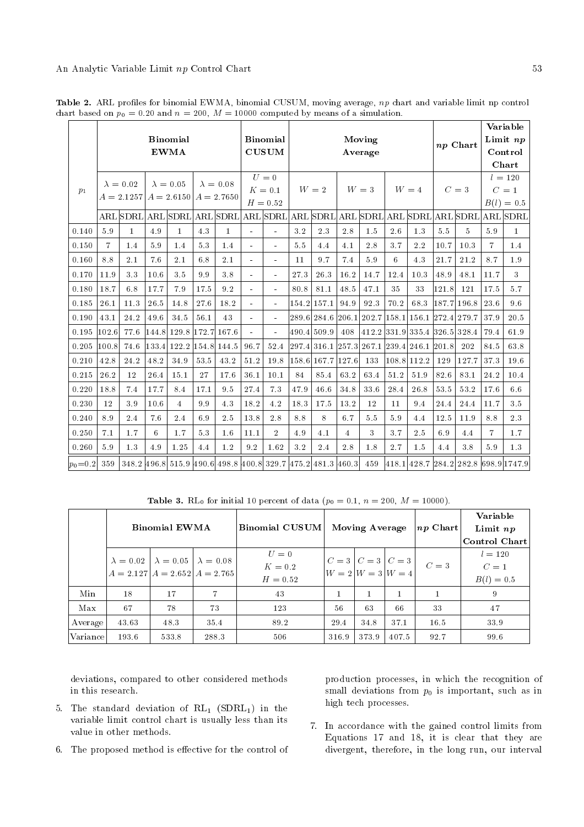|                |                | <b>Binomial</b><br><b>EWMA</b><br>$\lambda = 0.05$<br>$\lambda = 0.08$<br>$\lambda = 0.02$ |       |                           |         |              |                          | <b>Binomial</b><br><b>CUSUM</b>                                | Moving<br>Average |                   |        |                                      |       | np Chart                                        |         | Variable<br>Limit $np$<br>Control<br>Chart |                |                                |
|----------------|----------------|--------------------------------------------------------------------------------------------|-------|---------------------------|---------|--------------|--------------------------|----------------------------------------------------------------|-------------------|-------------------|--------|--------------------------------------|-------|-------------------------------------------------|---------|--------------------------------------------|----------------|--------------------------------|
| p <sub>1</sub> |                | $A = 2.1257$                                                                               |       | $A = 2.6150$ $A = 2.7650$ |         |              |                          | $U=0$<br>$K=0.1$<br>$H = 0.52$                                 |                   | $W = 2$           |        | $W=3$                                |       | $W=4$                                           |         | $C=3$                                      | B(l)           | $l = 120$<br>$C=1$<br>$= 0.5$  |
|                |                |                                                                                            |       |                           |         |              |                          | ARL SDRL ARL SDRL ARL SDRL ARL SDRL ARL SDRL ARL SDRL ARL SDRL |                   |                   |        |                                      |       |                                                 |         |                                            |                | ARL SDRL ARL SDRL              |
| 0.140          | 5.9            | $\mathbf{1}$                                                                               | 4.9   | $\bf{1}$                  | 4.3     | $\mathbf{1}$ |                          |                                                                | $3\,2$            | $2.3\,$           | $2\ 8$ | 1.5                                  | 2.6   | $1.3\,$                                         | $5.5\,$ | $\overline{5}$                             | 5.9            | $\mathbf{1}$                   |
| 0.150          | $\overline{7}$ | 1.4                                                                                        | 5.9   | 1.4                       | 5.3     | 1.4          | $\overline{\phantom{a}}$ | ٠                                                              | 5.5               | 4.4               | 4.1    | 2.8                                  | 3.7   | 2.2                                             | 10.7    | 10.3                                       | $\overline{7}$ | 1.4                            |
| 0.160          | 8.8            | 2.1                                                                                        | 7.6   | 2.1                       | 6.8     | 2.1          | $\sim$                   | $\blacksquare$                                                 | 11                | 9.7               | 7.4    | $5.9\,$                              | 6     | 4.3                                             | 21.7    | 21.2                                       | 8.7            | 1.9                            |
| 0.170          | 11.9           | 3.3                                                                                        | 10.6  | 3.5                       | $9.9\,$ | $3.8\,$      |                          |                                                                | 273               | 26.3              | 16.2   | 14.7                                 | 12.4  | 10.3                                            | 48.9    | 48.1                                       | 11.7           | 3                              |
| 0.180          | 18.7           | 6.8                                                                                        | 17.7  | 7.9                       | 17.5    | 9.2          |                          |                                                                | 80.8              | 81.1              | 48.5   | 47.1                                 | 35    | 33                                              | 121.8   | 121                                        | 17.5           | 5.7                            |
| 0.185          | 26.1           | 11.3                                                                                       | 26.5  | 14.8                      | 27.6    | 18.2         |                          |                                                                | 154.2             | 157.1             | 94.9   | 923                                  | 70.2  | 683                                             |         | 187.7 196.8                                | 23.6           | 9.6                            |
| 0.190          | 43.1           | 24.2                                                                                       | 49.6  | 34.5                      | 56.1    | 43           |                          |                                                                |                   |                   |        | 289.6  284.6   206.1   202.7   158.1 |       |                                                 |         | 156.1 272.4 279.7                          | 37.9           | 20.5                           |
| 0.195          | 102.6          | 77.6                                                                                       |       | 144.8 129.8 172.7 167.6   |         |              | $\blacksquare$           | ä,                                                             |                   | 490.4 509.9       | 408    |                                      |       | 412.2 331.9 335.4 326.5 328.4                   |         |                                            | 79.4           | 61.9                           |
| 0.205          | 100.8          | 74.6                                                                                       | 133.4 | $122.2$ [154.8]           |         | 144.5        | 96.7                     | 52.4                                                           |                   |                   |        |                                      |       | 297.4  316.1  257.3  267.1  239.4  246.1  201.8 |         | 202                                        | 84.5           | 63.8                           |
| 0.210          | 42.8           | 24.2                                                                                       | 48.2  | 34.9                      | 53.5    | 43.2         | 51.2                     | 19.8                                                           |                   | 158.6 167.7 127.6 |        | 133                                  |       | 108.8 112.2                                     | 129     | 127.7                                      | 37.3           | 19.6                           |
| 0.215          | 26.2           | 12                                                                                         | 26.4  | 15.1                      | 27      | 17.6         | 36.1                     | 10.1                                                           | 84                | 85.4              | 63.2   | 63.4                                 | 51.2  | 51.9                                            | 82.6    | 83.1                                       | 24.2           | 10.4                           |
| 0.220          | 18.8           | 7.4                                                                                        | 17.7  | 8.4                       | 17.1    | 9.5          | 27.4                     | 7.3                                                            | 47.9              | 46.6              | 34.8   | 33.6                                 | 28.4  | 26.8                                            | 53.5    | 53.2                                       | 17.6           | 6.6                            |
| 0.230          | 12             | 3.9                                                                                        | 10.6  | $\overline{4}$            | 99      | 4.3          | 18.2                     | 4.2                                                            | 18.3              | 17.5              | 13.2   | 12                                   | 11    | 9.4                                             | 24.4    | 24.4                                       | 11.7           | 3.5                            |
| 0.240          | 8.9            | 2.4                                                                                        | 7.6   | 2.4                       | 6.9     | 2.5          | 13.8                     | 2.8                                                            | 8.8               | 8                 | 6.7    | 5.5                                  | 5.9   | 4.4                                             | 12.5    | 11.9                                       | 8.8            | 2.3                            |
| 0.250          | 7.1            | 1.7                                                                                        | 6     | 1.7                       | 5.3     | 1.6          | 11.1                     | $\overline{2}$                                                 | 4.9               | 4.1               | 4      | 3                                    | 3.7   | 2.5                                             | 6.9     | 4.4                                        | $\overline{7}$ | 1.7                            |
| 0.260          | 5.9            | 1.3                                                                                        | 4.9   | 1.25                      | 4.4     | 1.2          | 9.2                      | 1.62                                                           | 3.2               | 2.4               | 2.8    | 1.8                                  | 2.7   | 1.5                                             | 4.4     | 3.8                                        | 59             | 1.3                            |
| $ p_0=0.2 $    | 359            |                                                                                            |       |                           |         |              |                          | 348.2 496.8 515.9 490.6 498.8 400.8 329.7 475.2 481.3 460.3    |                   |                   |        | 459                                  | 418.1 |                                                 |         |                                            |                | 428.7 284.2 282.8 698.9 1747.9 |

Table 2. ARL profiles for binomial EWMA, binomial CUSUM, moving average, np chart and variable limit np control chart based on  $p_0 = 0.20$  and  $n = 200$ ,  $M = 10000$  computed by means of a simulation.

**Table 3.** RL<sub>0</sub> for initial 10 percent of data  $(p_0 = 0.1, n = 200, M = 10000)$ .

|          |       | <b>Binomial EWMA</b>                                   |                                     | <b>Binomial CUSUM</b>            | Moving Average |                                                                                                                                              |       | $ np\>$ Chart $ $ | Variable<br>Limit $np$<br>Control Chart |
|----------|-------|--------------------------------------------------------|-------------------------------------|----------------------------------|----------------|----------------------------------------------------------------------------------------------------------------------------------------------|-------|-------------------|-----------------------------------------|
|          |       | $\lambda = 0.02$   $\lambda = 0.05$   $\lambda = 0.08$ | $A = 2.127$ $A = 2.652$ $A = 2.765$ | $U=0$<br>$K = 0.2$<br>$H = 0.52$ |                | $\begin{vmatrix} C = 3 \\ W = 2 \end{vmatrix}$ $\begin{vmatrix} C = 3 \\ W = 3 \end{vmatrix}$ $\begin{vmatrix} C = 3 \\ W = 4 \end{vmatrix}$ |       | $C=3$             | $l = 120$<br>$C=1$<br>$B(l) = 0.5$      |
| Min      | 18    | 17                                                     |                                     | 43                               |                |                                                                                                                                              |       |                   | 9                                       |
| Max      | 67    | 78                                                     | 73                                  | 123                              | 56             | 63                                                                                                                                           | 66    | 33                | 47                                      |
| Average  | 43.63 | 48.3                                                   | 35.4                                | 89.2                             | 29.4           | 34.8                                                                                                                                         | 37.1  | 16.5              | 33.9                                    |
| Variance | 193.6 | 533.8                                                  | 288.3                               | 506                              | 316.9          | 373.9                                                                                                                                        | 407.5 | 92.7              | 99.6                                    |

deviations, compared to other considered methods in this research.

- 5. The standard deviation of  $RL_1$  (SDRL<sub>1</sub>) in the variable limit control chart is usually less than its value in other methods.
- 6. The proposed method is effective for the control of

production processes, in which the recognition of small deviations from  $p_0$  is important, such as in high tech processes.

7. In accordance with the gained control limits from Equations 17 and 18, it is clear that they are divergent, therefore, in the long run, our interval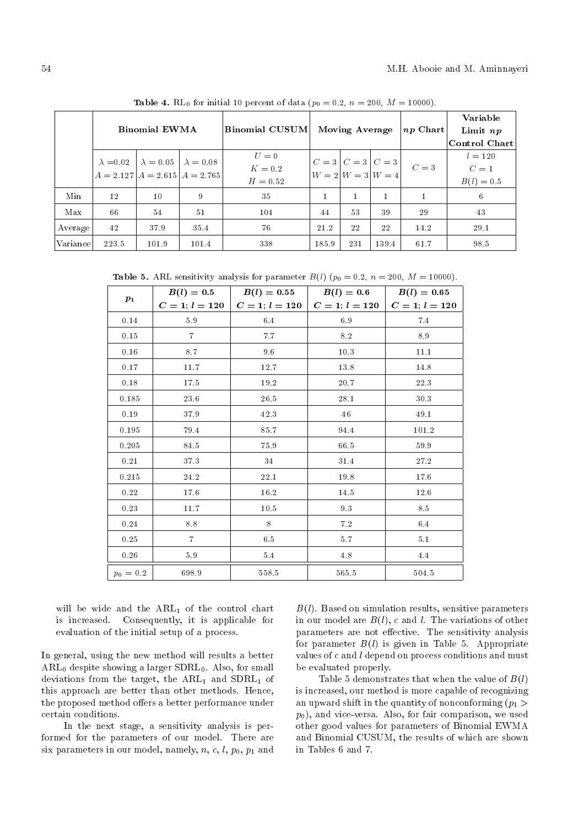|          | --- -------- -- p ----- -- --- -- p |                                                        |       |                                                                                                                                                                       |       |                       |       |                  |               |  |  |  |
|----------|-------------------------------------|--------------------------------------------------------|-------|-----------------------------------------------------------------------------------------------------------------------------------------------------------------------|-------|-----------------------|-------|------------------|---------------|--|--|--|
|          |                                     |                                                        |       |                                                                                                                                                                       |       |                       |       |                  | Variable      |  |  |  |
|          |                                     | <b>Binomial EWMA</b>                                   |       | <b>Binomial CUSUM</b>                                                                                                                                                 |       | <b>Moving Average</b> |       | $ np $ Chart $ $ | Limit $np$    |  |  |  |
|          |                                     |                                                        |       |                                                                                                                                                                       |       |                       |       |                  | Control Chart |  |  |  |
|          |                                     | $\lambda = 0.02$   $\lambda = 0.05$   $\lambda = 0.08$ |       | $U=0$                                                                                                                                                                 |       |                       |       |                  | $l = 120$     |  |  |  |
|          |                                     |                                                        |       | $K=0.2$                                                                                                                                                               |       |                       |       | $C=3$            | $C=1$         |  |  |  |
|          |                                     |                                                        |       | $\begin{vmatrix} C = 3 & C = 3 \\ W = 2 & W = 3 \end{vmatrix}$<br>$\begin{vmatrix} C = 3 \\ W = 4 \end{vmatrix}$<br>$A = 2.127$ $A = 2.615$ $A = 2.765$<br>$H = 0.52$ |       |                       |       | $B(l) = 0.5$     |               |  |  |  |
| Min      | 12                                  | $10\,$                                                 | 9     | 35                                                                                                                                                                    |       |                       |       |                  | 6             |  |  |  |
| Max      | 66                                  | 54                                                     | 51    | 104                                                                                                                                                                   | 44    | 53                    | 39    | 29               | 43            |  |  |  |
| Average  | 42                                  | 37.9                                                   | 35.4  | 76                                                                                                                                                                    | 21.2  | 22                    | 22    | 14.2             | 29.1          |  |  |  |
| Variance | 223.5                               | 101.9                                                  | 101.4 | 338                                                                                                                                                                   | 185.9 | 231                   | 139.4 | 61.7             | 98.5          |  |  |  |

**Table 4.** RL<sub>0</sub> for initial 10 percent of data ( $p_0 = 0.2$ ,  $n = 200$ ,  $M = 10000$ ).

Table 5. ARL sensitivity analysis for parameter  $B(l)$  ( $p_0 = 0.2$ ,  $n = 200$ ,  $M = 10000$ ).

|             | $B(l)=0.5$       | $B(l) = 0.55$          | $B(l)=0.6$       | $B(l) = 0.65$    |
|-------------|------------------|------------------------|------------------|------------------|
| $p_1$       | $C = 1; l = 120$ | $C=1;\, l=120 \, \mid$ | $C = 1; l = 120$ | $C = 1; l = 120$ |
| 0.14        | $5.9\,$          | 6.4                    | 6.9              | 7.4              |
| 0.15        | $\overline{7}$   | 7.7                    | $8.2\,$          | 8.9              |
| 0.16        | 8.7              | 9.6                    | 10.3             | 11.1             |
| 0.17        | 11.7             | 12.7                   | 13.8             | 14.8             |
| 0.18        | 17.5             | 19.2                   | 20.7             | 22.3             |
| 0.185       | 23.6             | 26.5                   | 28.1             | 30.3             |
| 0.19        | 37.9             | 42.3                   | 46               | 49.1             |
| 0.195       | 79.4             | 85.7                   | 94.4             | 101.2            |
| 0.205       | 84.5             | $75.9\,$               | 66.5             | 59.9             |
| 0.21        | 37.3             | 34                     | 31.4             | 27.2             |
| 0.215       | 24.2             | 22.1                   | 19.8             | 17.6             |
| 0.22        | 17.6             | $16.2\,$               | 14.5             | 12.6             |
| 0.23        | 11.7             | 10.5                   | 93               | 8.5              |
| 0.24        | $8.8\,$          | 8                      | $7.2\,$          | $6.4\,$          |
| 0.25        | $\overline{7}$   | 6.5                    | 57               | 5.1              |
| 0.26        | 5.9              | 5.4                    | 4.8              | 4.4              |
| $p_0 = 0.2$ | 698.9            | 558.5                  | 565.5            | 504.5            |

will be wide and the  $ARL_1$  of the control chart<br>is increased. Consequently, it is applicable for Consequently, it is applicable for evaluation of the initial setup of a process.

In general, using the new method will results a better  $ARL<sub>0</sub>$  despite showing a larger  $SDRL<sub>0</sub>$ . Also, for small deviations from the target, the  $ARL<sub>1</sub>$  and  $SDRL<sub>1</sub>$  of this approach are better than other methods. Hence, the proposed method offers a better performance under certain conditions.

In the next stage, a sensitivity analysis is performed for the parameters of our model. There are six parameters in our model, namely, n, c, l,  $p_0$ ,  $p_1$  and  $B(l)$ . Based on simulation results, sensitive parameters in our model are  $B(l)$ , c and l. The variations of other parameters are not effective. The sensitivity analysis for parameter  $B(l)$  is given in Table 5. Appropriate values of c and l depend on process conditions and must be evaluated properly.

Table 5 demonstrates that when the value of  $B(l)$ is increased, our method is more capable of recognizing an upward shift in the quantity of nonconforming  $(p_1 >$  $p_0$ ), and vice-versa. Also, for fair comparison, we used other good values for parameters of Binomial EWMA and Binomial CUSUM, the results of which are shown in Tables 6 and 7.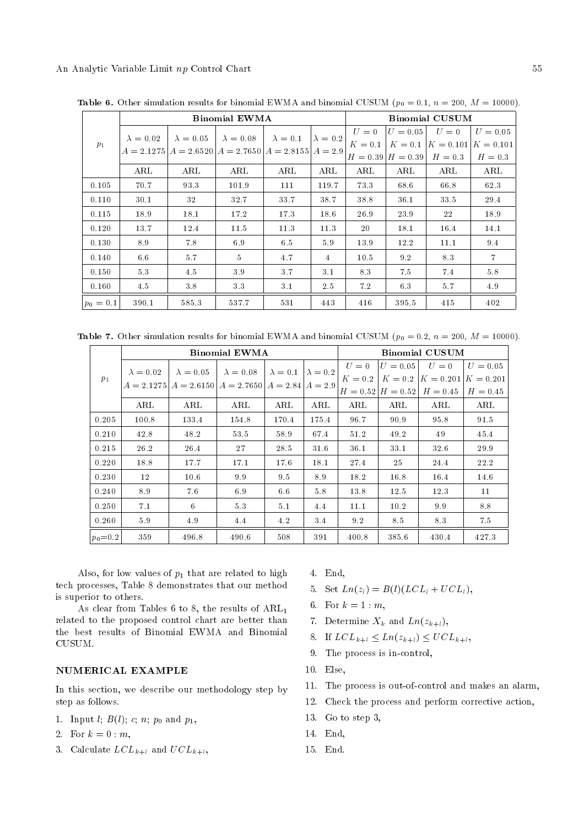|             |                  |                                                               | <b>Binomial EWMA</b> |                 |                 |            |            | <b>Binomial CUSUM</b>             |                |
|-------------|------------------|---------------------------------------------------------------|----------------------|-----------------|-----------------|------------|------------|-----------------------------------|----------------|
|             | $\lambda = 0.02$ | $\lambda = 0.05$                                              | $\lambda = 0.08$     | $\lambda = 0.1$ | $\lambda = 0.2$ | $U=0$      | $U = 0.05$ | $U=0$                             | $U = 0.05$     |
| $p_1$       |                  | $A = 2.1275$ $A = 2.6520$ $A = 2.7650$ $A = 2.8155$ $A = 2.9$ |                      |                 |                 | $K=0.1$    |            | $K = 0.1$ $K = 0.101$ $K = 0.101$ |                |
|             |                  |                                                               |                      |                 |                 |            |            | $H = 0.39$ $H = 0.39$ $H = 0.3$   | $H = 0.3$      |
|             | ARL              | ARL                                                           | ARL                  | ARL             | ARL             | $\rm{ARL}$ | ARL        | ARL                               | ARL            |
| 0.105       | 70.7             | 93.3                                                          | 101.9                | 111             | 119.7           | 73.3       | 68.6       | 66.8                              | 62.3           |
| 0.110       | 30.1             | 32                                                            | 32.7                 | 33.7            | 38.7            | 38.8       | 36.1       | 33.5                              | 29.4           |
| 0.115       | 18.9             | 18.1                                                          | 17.2                 | 17.3            | 18.6            | 26.9       | 23.9       | 22                                | 18.9           |
| 0.120       | 13.7             | 12.4                                                          | 11.5                 | 11.3            | 11.3            | 20         | 18.1       | 16.4                              | 14.1           |
| 0.130       | 8.9              | 7.8                                                           | 6.9                  | 6.5             | 5.9             | 13.9       | 12.2       | 11.1                              | 9.4            |
| 0.140       | 6.6              | 5.7                                                           | $5^{\circ}$          | 4.7             | 4               | 10.5       | 9.2        | 8.3                               | $\overline{7}$ |
| 0.150       | 5.3              | 4.5                                                           | 3.9                  | 3.7             | 3.1             | 8.3        | 7.5        | 7.4                               | 5.8            |
| 0.160       | 4.5              | 3.8                                                           | 3.3                  | 3.1             | 2.5             | 7.2        | 6.3        | 5.7                               | 4.9            |
| $ p_0=0.1 $ | 390.1            | 585.3                                                         | 537.7                | 531             | 443             | 416        | 395.5      | 415                               | 402            |

**Table 6.** Other simulation results for binomial EWMA and binomial CUSUM ( $p_0 = 0.1$ ,  $n = 200$ ,  $M = 10000$ ).

Table 7. Other simulation results for binomial EWMA and binomial CUSUM ( $p_0 = 0.2$ ,  $n = 200$ ,  $M = 10000$ ).

|             |                                                             |                                     | <b>Binomial EWMA</b> |                                    |       | <b>Binomial CUSUM</b> |            |                                   |            |  |  |  |
|-------------|-------------------------------------------------------------|-------------------------------------|----------------------|------------------------------------|-------|-----------------------|------------|-----------------------------------|------------|--|--|--|
|             | $\lambda = 0.02$                                            | $\lambda = 0.05$   $\lambda = 0.08$ |                      | $\lambda = 0.1 \mid \lambda = 0.2$ |       | $U=0$                 | $U = 0.05$ | $U=0$                             | $U = 0.05$ |  |  |  |
| $p_1$       | $A = 2.1275$ $A = 2.6150$ $A = 2.7650$ $A = 2.84$ $A = 2.9$ |                                     |                      |                                    |       | $K=0.2$               |            | $K = 0.2$ $K = 0.201$ $K = 0.201$ |            |  |  |  |
|             |                                                             |                                     |                      |                                    |       |                       |            | $H = 0.52$ $H = 0.52$ $H = 0.45$  | $H = 0.45$ |  |  |  |
|             | ARL                                                         | ARL                                 | ARL                  | ARL                                | ARL   | ARL                   | ARL        | ARL                               | ARL        |  |  |  |
| 0.205       | 100.8                                                       | 133.4                               | 154.8                | 170.4                              | 175.4 | 96.7                  | 90.9       | 95.8                              | 91.5       |  |  |  |
| 0.210       | 42.8                                                        | 48.2                                | 53.5                 | 58.9                               | 67.4  | 51.2                  | 49.2       | 49                                | 45.4       |  |  |  |
| 0.215       | 26.2                                                        | 26.4                                | 27                   | 28.5                               | 31.6  | 36.1                  | 33.1       | 32.6                              | 29.9       |  |  |  |
| 0.220       | 18.8                                                        | 17.7                                | 17.1                 | 17.6                               | 18.1  | 27.4                  | 25         | 24.4                              | 22.2       |  |  |  |
| 0.230       | 12                                                          | 10.6                                | 99                   | 9.5                                | 8.9   | 18.2                  | 16.8       | 16.4                              | 14.6       |  |  |  |
| 0.240       | 8.9                                                         | 7.6                                 | 6.9                  | 6.6                                | 5.8   | 13.8                  | 12.5       | 12.3                              | 11         |  |  |  |
| 0.250       | 7.1                                                         | 6                                   | 5.3                  | 5.1                                | 4.4   | 11.1                  | 10.2       | 9.9                               | 8.8        |  |  |  |
| 0.260       | 5.9                                                         | 4.9                                 | 4.4                  | 4.2                                | 3.4   | 9.2                   | 8.5        | 8.3                               | 7.5        |  |  |  |
| $p_0 = 0.2$ | 359                                                         | 496.8                               | 490.6                | 508                                | 391   | 400.8                 | 385.6      | 430.4                             | 427.3      |  |  |  |

Also, for low values of  $p_1$  that are related to high tech processes, Table 8 demonstrates that our method is superior to others.

As clear from Tables 6 to 8, the results of  $ARL<sub>1</sub>$ related to the proposed control chart are better than the best results of Binomial EWMA and Binomial CUSUM.

# NUMERICAL EXAMPLE

In this section, we describe our methodology step by step as follows.

- 1. Input *l*;  $B(l)$ ; *c*; *n*;  $p_0$  and  $p_1$ ,
- 2. For  $k = 0 : m$ ,
- 3. Calculate  $LCL_{k+l}$  and  $UCL_{k+l}$ ,
- 4. End,
- 5. Set  $Ln(z_l) = B(l)(LCL_l + UCL_l),$
- 6. For  $k = 1 : m$ ,
- 7. Determine  $X_k$  and  $Ln(z_{k+l}),$
- 8. If  $LCL_{k+l} \leq Ln(z_{k+l}) \leq UCL_{k+l}$ ,
- 9. The process is in-control,
- 10. Else,
- 11. The process is out-of-control and makes an alarm,
- 12. Check the process and perform corrective action,
- 13. Go to step 3,
- 14. End,
- 15. End.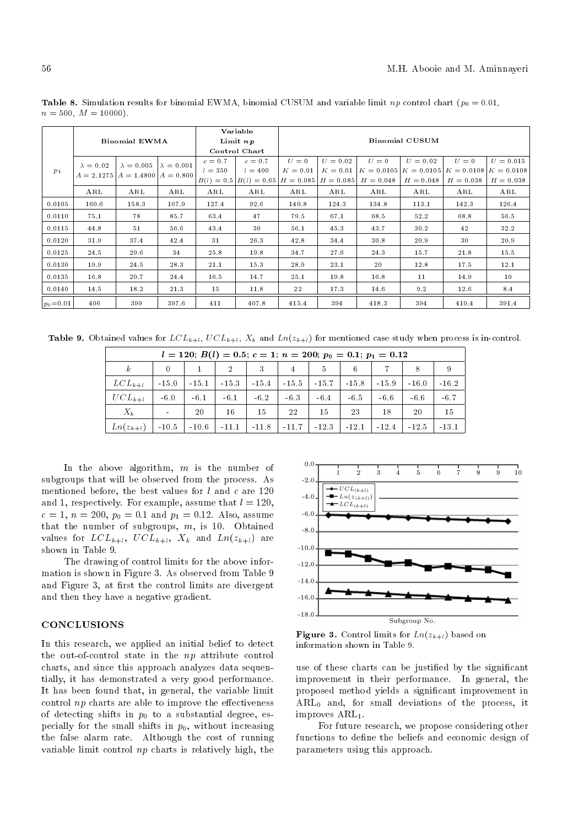|              |                  | <b>Binomial EWMA</b>                  |                   |              | Variable<br>Limit $np$ | <b>Binomial CUSUM</b> |             |              |              |              |              |  |  |
|--------------|------------------|---------------------------------------|-------------------|--------------|------------------------|-----------------------|-------------|--------------|--------------|--------------|--------------|--|--|
|              |                  |                                       |                   |              | Control Chart          |                       |             |              |              |              |              |  |  |
|              | $\lambda = 0.02$ | $\lambda = 0.005$                     | $\lambda = 0.001$ | $c=0.7$      | $c=0.7$                | $U=0$                 | $U = 0.02$  | $U=0$        | $U = 0.02$   | $U=0$        | $U = 0.015$  |  |  |
| $p_1$        |                  | $A = 2.1275$ $A = 1.4800$ $A = 0.800$ |                   | $l = 350$    | $l = 400$              | $K = 0.01$            | $K = 0.01$  | $K = 0.0105$ | $K = 0.0105$ | $K = 0.0108$ | $K = 0.0108$ |  |  |
|              |                  |                                       |                   | $B(l) = 0.5$ | $B(l) = 0.65$          | $H = 0.085$           | $H = 0.085$ | $H = 0.048$  | $H = 0.048$  | $H = 0.038$  | $H = 0.038$  |  |  |
|              | ARL              | ARL                                   | ARL               | ARL          | ARL                    | ARL                   | ARL         | ARL          | ARL          | ARL          | ARL          |  |  |
| 0.0105       | 160.6            | 158.3                                 | 167.9             | 127.4        | 92.6                   | 140.8                 | 124.3       | 134.8        | 113.1        | 142.3        | 126.4        |  |  |
| 0.0110       | 75.1             | 78                                    | 85.7              | 63.4         | 47                     | 79.5                  | 67.1        | 68.5         | 52.2         | 68.8         | 56.5         |  |  |
| 0.0115       | 44.8             | 51                                    | 56.6              | 43.4         | 30                     | 56.1                  | 45.3        | 43.7         | 30.2         | 42           | 32.2         |  |  |
| 0.0120       | 31.9             | 37.4                                  | 42.4              | 31           | 26.3                   | 42.8                  | 34.4        | 30.8         | 20.9         | 30           | 20.9         |  |  |
| 0.0125       | 24.5             | 29.6                                  | 34                | 25.8         | 19.8                   | 34.7                  | 27.6        | 24.3         | 15.7         | 21.8         | 15.5         |  |  |
| 0.0130       | 19.9             | 24.5                                  | 28.3              | 21.1         | 15.3                   | 28.9                  | 23.1        | 20           | 12.8         | 17.5         | 12.1         |  |  |
| 0.0135       | 16.8             | 20.7                                  | 24.4              | 16.5         | 14.7                   | 25.1                  | 19.8        | 16.8         | 11           | 14.9         | 10           |  |  |
| 0.0140       | 14.5             | 18.2                                  | 21.3              | 15           | 11.8                   | 22                    | 17.3        | 14.6         | 9.2          | 12.6         | 8.4          |  |  |
| $ p_0=0.01 $ | 406              | 399                                   | 397.6             | 411          | 407.8                  | 415.4                 | 394         | 418.3        | 394          | 410.4        | 391.4        |  |  |

**Table 8.** Simulation results for binomial EWMA, binomial CUSUM and variable limit np control chart ( $p_0 = 0.01$ ,  $n = 500, M = 10000$ .

**Table 9.** Obtained values for  $LCL_{k+l}$ ,  $UCL_{k+l}$ ,  $X_k$  and  $Ln(z_{k+l})$  for mentioned case study when process is in-control.

|                  | $l = 120$ ; $B(l) = 0.5$ ; $c = 1$ ; $n = 200$ ; $p_0 = 0.1$ ; $p_1 = 0.12$ |              |                |         |         |         |                                                                     |             |         |         |  |  |  |
|------------------|-----------------------------------------------------------------------------|--------------|----------------|---------|---------|---------|---------------------------------------------------------------------|-------------|---------|---------|--|--|--|
| $\boldsymbol{k}$ | $\overline{0}$                                                              | $\mathbf{1}$ | $\overline{2}$ |         | 3 4 5 6 |         |                                                                     | $7^{\circ}$ | 8       | - 9     |  |  |  |
| $LCL_{k+l}$      | $-15.0$                                                                     |              |                |         |         |         | $-15.1$   $-15.3$   $-15.4$   $-15.5$   $-15.7$   $-15.8$   $-15.9$ |             | $-16.0$ | $-16.2$ |  |  |  |
| $UCL_{k+l}$      | $-6.0$                                                                      | $-6.1$       | $-6.1$         | $-6.2$  | $-6.3$  | $-6.4$  | -6.5                                                                | -6.6        | $-6.6$  | $-6.7$  |  |  |  |
| $X_k$            | $\sim$                                                                      | 20           | 16             | 15      | 22      | 15      | 23                                                                  | 18          | -20     | 15      |  |  |  |
| $Ln(z_{k+l})$    | $-10.5$                                                                     | $-10.6$      | $-11.1$        | $-11.8$ | $-11.7$ | $-12.3$ | $-12.1$                                                             | $-12.4$     | $-12.5$ | $-13.1$ |  |  |  |

In the above algorithm,  $m$  is the number of subgroups that will be observed from the process. As mentioned before, the best values for  $l$  and  $c$  are 120 and 1, respectively. For example, assume that  $l = 120$ ,  $c = 1, n = 200, p_0 = 0.1$  and  $p_1 = 0.12$ . Also, assume that the number of subgroups, m, is 10. Obtained values for  $LCL_{k+l}$ ,  $UCL_{k+l}$ ,  $X_k$  and  $Ln(z_{k+l})$  are shown in Table 9.

The drawing of control limits for the above information is shown in Figure 3. As observed from Table 9 and Figure 3, at first the control limits are divergent and then they have a negative gradient.

### **CONCLUSIONS**

In this research, we applied an initial belief to detect the out-of-control state in the np attribute control charts, and since this approach analyzes data sequentially, it has demonstrated a very good performance. It has been found that, in general, the variable limit control  $np$  charts are able to improve the effectiveness of detecting shifts in  $p_0$  to a substantial degree, especially for the small shifts in  $p_0$ , without increasing the false alarm rate. Although the cost of running variable limit control np charts is relatively high, the



**Figure 3.** Control limits for  $Ln(z_{k+l})$  based on information shown in Table 9.

use of these charts can be justified by the significant improvement in their performance. In general, the proposed method yields a signicant improvement in  $ARL<sub>0</sub>$  and, for small deviations of the process, it improves  $ARL<sub>1</sub>$ .

For future research, we propose considering other functions to define the beliefs and economic design of parameters using this approach.